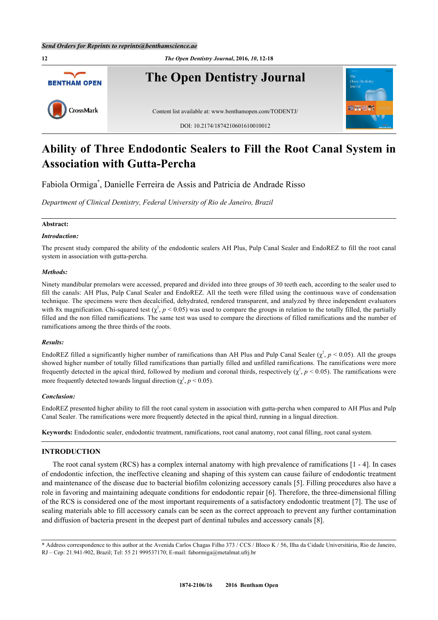

# **Ability of Three Endodontic Sealers to Fill the Root Canal System in Association with Gutta-Percha**

Fabiola Ormiga[\\*](#page-0-0) , Danielle Ferreira de Assis and Patricia de Andrade Risso

*Department of Clinical Dentistry, Federal University of Rio de Janeiro, Brazil*

# **Abstract:**

# *Introduction:*

The present study compared the ability of the endodontic sealers AH Plus, Pulp Canal Sealer and EndoREZ to fill the root canal system in association with gutta-percha.

#### *Methods:*

Ninety mandibular premolars were accessed, prepared and divided into three groups of 30 teeth each, according to the sealer used to fill the canals: AH Plus, Pulp Canal Sealer and EndoREZ. All the teeth were filled using the continuous wave of condensation technique. The specimens were then decalcified, dehydrated, rendered transparent, and analyzed by three independent evaluators with 8x magnification. Chi-squared test  $(\chi^2, p < 0.05)$  was used to compare the groups in relation to the totally filled, the partially filled and the non filled ramifications. The same test was used to compare the directions of filled ramifications and the number of ramifications among the three thirds of the roots.

#### *Results:*

EndoREZ filled a significantly higher number of ramifications than AH Plus and Pulp Canal Sealer  $(\chi^2, p < 0.05)$ . All the groups showed higher number of totally filled ramifications than partially filled and unfilled ramifications. The ramifications were more frequently detected in the apical third, followed by medium and coronal thirds, respectively  $(\chi^2, p \le 0.05)$ . The ramifications were more frequently detected towards lingual direction  $(\chi^2, p \le 0.05)$ .

#### *Conclusion:*

EndoREZ presented higher ability to fill the root canal system in association with gutta-percha when compared to AH Plus and Pulp Canal Sealer. The ramifications were more frequently detected in the apical third, running in a lingual direction.

**Keywords:** Endodontic sealer, endodontic treatment, ramifications, root canal anatomy, root canal filling, root canal system.

# **INTRODUCTION**

The root canal system (RCS) has a complex internal anatomy with high prevalence of ramifications [\[1](#page-4-0) - [4\]](#page-4-1). In cases of endodontic infection, the ineffective cleaning and shaping of this system can cause failure of endodontic treatment and maintenance of the disease due to bacterial biofilm colonizing accessory canals [[5\]](#page-4-2). Filling procedures also have a role in favoring and maintaining adequate conditions for endodontic repair [[6](#page-4-3)]. Therefore, the three-dimensional filling of the RCS is considered one of the most important requirements of a satisfactory endodontic treatment [\[7](#page-5-0)]. The use of sealing materials able to fill accessory canals can be seen as the correct approach to prevent any further contamination and diffusion of bacteria present in the deepest part of dentinal tubules and accessory canals [\[8](#page-5-1)].

<span id="page-0-0"></span><sup>\*</sup> Address correspondence to this author at the Avenida Carlos Chagas Filho 373 / CCS / Bloco K / 56, Ilha da Cidade Universitária, Rio de Janeiro, RJ – Cep: 21.941-902, Brazil; Tel: 55 21 999537170; E-mail: [fabormiga@metalmat.ufrj.br](mailto:fabormiga@metalmat.ufrj.br)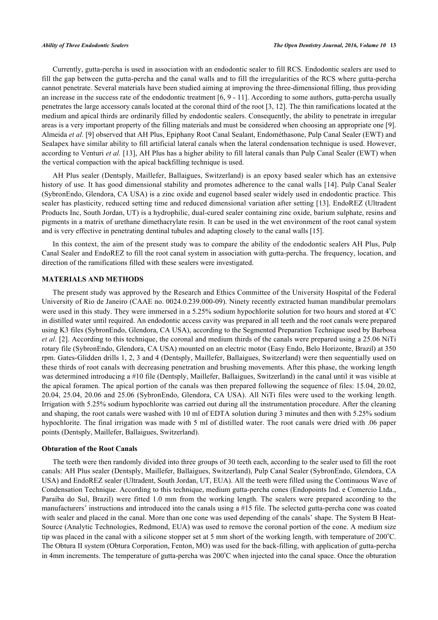Currently, gutta-percha is used in association with an endodontic sealer to fill RCS. Endodontic sealers are used to fill the gap between the gutta-percha and the canal walls and to fill the irregularities of the RCS where gutta-percha cannot penetrate. Several materials have been studied aiming at improving the three-dimensional filling, thus providing an increase in the success rate of the endodontic treatment [[6,](#page-4-3) [9](#page-5-2) - [11\]](#page-5-3). According to some authors, gutta-percha usually penetrates the large accessory canals located at the coronal third of the root [[3,](#page-4-4) [12\]](#page-5-4). The thin ramifications located at the medium and apical thirds are ordinarily filled by endodontic sealers. Consequently, the ability to penetrate in irregular areas is a very important property of the filling materials and must be considered when choosing an appropriate one [[9\]](#page-5-2). Almeida *et al.* [[9\]](#page-5-2) observed that AH Plus, Epiphany Root Canal Sealant, Endométhasone, Pulp Canal Sealer (EWT) and Sealapex have similar ability to fill artificial lateral canals when the lateral condensation technique is used. However, according to Venturi *et al.* [\[13\]](#page-5-5), AH Plus has a higher ability to fill lateral canals than Pulp Canal Sealer (EWT) when the vertical compaction with the apical backfilling technique is used.

AH Plus sealer (Dentsply, Maillefer, Ballaigues, Switzerland) is an epoxy based sealer which has an extensive history of use. It has good dimensional stability and promotes adherence to the canal walls [\[14\]](#page-5-6). Pulp Canal Sealer (SybronEndo, Glendora, CA USA) is a zinc oxide and eugenol based sealer widely used in endodontic practice. This sealer has plasticity, reduced setting time and reduced dimensional variation after setting [\[13\]](#page-5-5). EndoREZ (Ultradent Products Inc, South Jordan, UT) is a hydrophilic, dual-cured sealer containing zinc oxide, barium sulphate, resins and pigments in a matrix of urethane dimethacrylate resin. It can be used in the wet environment of the root canal system and is very effective in penetrating dentinal tubules and adapting closely to the canal walls [[15\]](#page-5-7).

In this context, the aim of the present study was to compare the ability of the endodontic sealers AH Plus, Pulp Canal Sealer and EndoREZ to fill the root canal system in association with gutta-percha. The frequency, location, and direction of the ramifications filled with these sealers were investigated.

# **MATERIALS AND METHODS**

The present study was approved by the Research and Ethics Committee of the University Hospital of the Federal University of Rio de Janeiro (CAAE no. 0024.0.239.000-09). Ninety recently extracted human mandibular premolars were used in this study. They were immersed in a 5.25% sodium hypochlorite solution for two hours and stored at 4<sup>o</sup>C in distilled water until required. An endodontic access cavity was prepared in all teeth and the root canals were prepared using K3 files (SybronEndo, Glendora, CA USA), according to the Segmented Preparation Technique used by Barbosa *et al.* [[2\]](#page-4-5). According to this technique, the coronal and medium thirds of the canals were prepared using a 25.06 NiTi rotary file (SybronEndo, Glendora, CA USA) mounted on an electric motor (Easy Endo, Belo Horizonte, Brazil) at 350 rpm. Gates-Glidden drills 1, 2, 3 and 4 (Dentsply, Maillefer, Ballaigues, Switzerland) were then sequentially used on these thirds of root canals with decreasing penetration and brushing movements. After this phase, the working length was determined introducing a #10 file (Dentsply, Maillefer, Ballaigues, Switzerland) in the canal until it was visible at the apical foramen. The apical portion of the canals was then prepared following the sequence of files: 15.04, 20.02, 20.04, 25.04, 20.06 and 25.06 (SybronEndo, Glendora, CA USA). All NiTi files were used to the working length. Irrigation with 5.25% sodium hypochlorite was carried out during all the instrumentation procedure. After the cleaning and shaping, the root canals were washed with 10 ml of EDTA solution during 3 minutes and then with 5.25% sodium hypochlorite. The final irrigation was made with 5 ml of distilled water. The root canals were dried with .06 paper points (Dentsply, Maillefer, Ballaigues, Switzerland).

#### **Obturation of the Root Canals**

The teeth were then randomly divided into three groups of 30 teeth each, according to the sealer used to fill the root canals: AH Plus sealer (Dentsply, Maillefer, Ballaigues, Switzerland), Pulp Canal Sealer (SybronEndo, Glendora, CA USA) and EndoREZ sealer (Ultradent, South Jordan, UT, EUA). All the teeth were filled using the Continuous Wave of Condensation Technique. According to this technique, medium gutta-percha cones (Endopoints Ind. e Comercio Ltda., Paraíba do Sul, Brazil) were fitted 1.0 mm from the working length. The sealers were prepared according to the manufacturers' instructions and introduced into the canals using a #15 file. The selected gutta-percha cone was coated with sealer and placed in the canal. More than one cone was used depending of the canals' shape. The System B Heat-Source (Analytic Technologies, Redmond, EUA) was used to remove the coronal portion of the cone. A medium size tip was placed in the canal with a silicone stopper set at 5 mm short of the working length, with temperature of  $200^{\circ}$ C. The Obtura II system (Obtura Corporation, Fenton, MO) was used for the back-filling, with application of gutta-percha in 4mm increments. The temperature of gutta-percha was  $200^{\circ}$ C when injected into the canal space. Once the obturation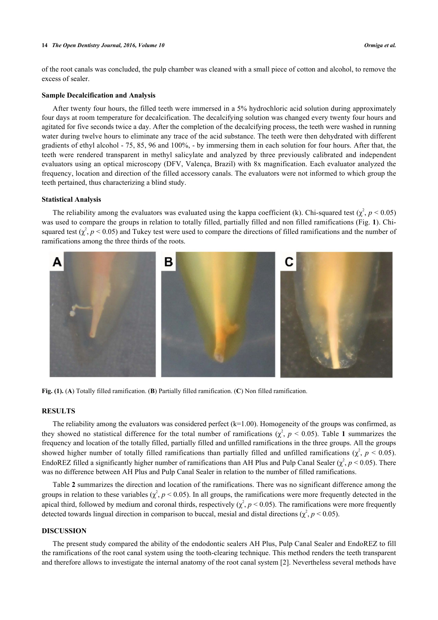#### **14** *The Open Dentistry Journal, 2016, Volume 10 Ormiga et al.*

of the root canals was concluded, the pulp chamber was cleaned with a small piece of cotton and alcohol, to remove the excess of sealer.

# **Sample Decalcification and Analysis**

After twenty four hours, the filled teeth were immersed in a 5% hydrochloric acid solution during approximately four days at room temperature for decalcification. The decalcifying solution was changed every twenty four hours and agitated for five seconds twice a day. After the completion of the decalcifying process, the teeth were washed in running water during twelve hours to eliminate any trace of the acid substance. The teeth were then dehydrated with different gradients of ethyl alcohol - 75, 85, 96 and 100%, - by immersing them in each solution for four hours. After that, the teeth were rendered transparent in methyl salicylate and analyzed by three previously calibrated and independent evaluators using an optical microscopy (DFV, Valença, Brazil) with 8x magnification. Each evaluator analyzed the frequency, location and direction of the filled accessory canals. The evaluators were not informed to which group the teeth pertained, thus characterizing a blind study.

## **Statistical Analysis**

The reliability among the evaluators was evaluated using the kappa coefficient (k). Chi-squared test  $(\chi^2, p \le 0.05)$ was used to compare the groups in relation to totally filled, partially filled and non filled ramifications (Fig. **[1](#page-2-0)**). Chisquared test  $(\chi^2, p \le 0.05)$  and Tukey test were used to compare the directions of filled ramifications and the number of ramifications among the three thirds of the roots.

<span id="page-2-0"></span>

**Fig. (1).** (**A**) Totally filled ramification. (**B**) Partially filled ramification. (**C**) Non filled ramification.

# **RESULTS**

The reliability among the evaluators was considered perfect  $(k=1.00)$ . Homogeneity of the groups was confirmed, as they showed no statistical difference for the total number of ramifications  $(\chi^2, p \le 0.05)$ . Table [1](#page-3-0) summarizes the frequency and location of the totally filled, partially filled and unfilled ramifications in the three groups. All the groups showed higher number of totally filled ramifications than partially filled and unfilled ramifications  $(\chi^2, p \le 0.05)$ . EndoREZ filled a significantly higher number of ramifications than AH Plus and Pulp Canal Sealer  $(\chi^2, p < 0.05)$ . There was no difference between AH Plus and Pulp Canal Sealer in relation to the number of filled ramifications.

Table **[2](#page-4-6)** summarizes the direction and location of the ramifications. There was no significant difference among the groups in relation to these variables  $(\chi^2, p \le 0.05)$ . In all groups, the ramifications were more frequently detected in the apical third, followed by medium and coronal thirds, respectively  $(\chi^2, p < 0.05)$ . The ramifications were more frequently detected towards lingual direction in comparison to buccal, mesial and distal directions  $(\chi^2, p < 0.05)$ .

# **DISCUSSION**

The present study compared the ability of the endodontic sealers AH Plus, Pulp Canal Sealer and EndoREZ to fill the ramifications of the root canal system using the tooth-clearing technique. This method renders the teeth transparent and therefore allows to investigate the internal anatomy of the root canal system [\[2](#page-4-5)]. Nevertheless several methods have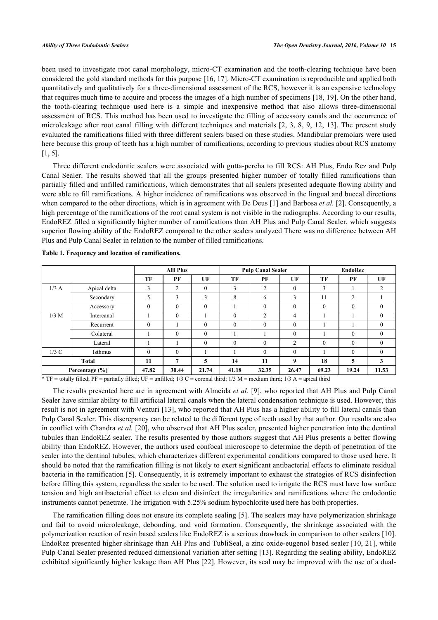been used to investigate root canal morphology, micro-CT examination and the tooth-clearing technique have been considered the gold standard methods for this purpose [\[16](#page-5-8), [17](#page-5-9)]. Micro-CT examination is reproducible and applied both quantitatively and qualitatively for a three-dimensional assessment of the RCS, however it is an expensive technology that requires much time to acquire and process the images of a high number of specimens [\[18,](#page-5-10) [19\]](#page-5-11). On the other hand, the tooth-clearing technique used here is a simple and inexpensive method that also allows three-dimensional assessment of RCS. This method has been used to investigate the filling of accessory canals and the occurrence of microleakage after root canal filling with different techniques and materials [[2,](#page-4-5) [3](#page-4-4), [8](#page-5-1), [9,](#page-5-2) [12,](#page-5-4) [13](#page-5-5)]. The present study evaluated the ramifications filled with three different sealers based on these studies. Mandibular premolars were used here because this group of teeth has a high number of ramifications, according to previous studies about RCS anatomy [\[1](#page-4-0), [5](#page-4-2)].

Three different endodontic sealers were associated with gutta-percha to fill RCS: AH Plus, Endo Rez and Pulp Canal Sealer. The results showed that all the groups presented higher number of totally filled ramifications than partially filled and unfilled ramifications, which demonstrates that all sealers presented adequate flowing ability and were able to fill ramifications. A higher incidence of ramifications was observed in the lingual and buccal directions when compared to the other directions, which is in agreement with De Deus [[1](#page-4-0)] and Barbosa *et al.* [\[2](#page-4-5)]. Consequently, a high percentage of the ramifications of the root canal system is not visible in the radiographs. According to our results, EndoREZ filled a significantly higher number of ramifications than AH Plus and Pulp Canal Sealer, which suggests superior flowing ability of the EndoREZ compared to the other sealers analyzed There was no difference between AH Plus and Pulp Canal Sealer in relation to the number of filled ramifications.

|                    |              | <b>AH Plus</b> |              | <b>Pulp Canal Sealer</b> |          |                | EndoRez        |              |                |                |
|--------------------|--------------|----------------|--------------|--------------------------|----------|----------------|----------------|--------------|----------------|----------------|
|                    |              | TF             | PF           | UF                       | TF       | PF             | UF             | TF           | PF             | UF             |
| $1/3$ A            | Apical delta | 3              | 2            | $\theta$                 | 3        | 2              | $\theta$       | 3            |                | 2              |
|                    | Secondary    | 5              | 3            | 3                        | 8        | 6              | 3              | 11           | 2              |                |
|                    | Accessory    | $\mathbf{0}$   | $\Omega$     | $\theta$                 |          | $\theta$       | $\theta$       | $\mathbf{0}$ | $\mathbf{0}$   | $\overline{0}$ |
| $1/3$ M            | Intercanal   |                | $\mathbf{0}$ |                          | $\theta$ | $\overline{2}$ | $\overline{4}$ |              |                | $\mathbf{0}$   |
|                    | Recurrent    | $\mathbf{0}$   |              | $\mathbf{0}$             | $\Omega$ | $\theta$       | $\mathbf{0}$   |              |                | $\overline{0}$ |
|                    | Colateral    |                | $\theta$     | $\mathbf{0}$             |          |                | $\theta$       |              | $\overline{0}$ | $\overline{0}$ |
|                    | Lateral      |                |              | $\mathbf{0}$             | $\theta$ | $\theta$       | $\overline{2}$ | $\mathbf{0}$ | $\mathbf{0}$   | $\overline{0}$ |
| 1/3C               | Isthmus      | $\mathbf{0}$   | $\mathbf{0}$ |                          |          | $\theta$       | $\mathbf{0}$   |              | $\overline{0}$ | $\mathbf{0}$   |
| Total              |              | 11             | 7            | 5                        | 14       | 11             | 9              | 18           | 5              | 3              |
| Percentage $(\% )$ |              | 47.82          | 30.44        | 21.74                    | 41.18    | 32.35          | 26.47          | 69.23        | 19.24          | 11.53          |

<span id="page-3-0"></span>**Table 1. Frequency and location of ramifications.**

 $*$  TF = totally filled; PF = partially filled; UF = unfilled; 1/3 C = coronal third; 1/3 M = medium third; 1/3 A = apical third

The results presented here are in agreement with Almeida *et al.* [[9\]](#page-5-2), who reported that AH Plus and Pulp Canal Sealer have similar ability to fill artificial lateral canals when the lateral condensation technique is used. However, this result is not in agreement with Venturi [[13](#page-5-5)], who reported that AH Plus has a higher ability to fill lateral canals than Pulp Canal Sealer. This discrepancy can be related to the different type of teeth used by that author. Our results are also in conflict with Chandra *et al.* [\[20](#page-5-12)], who observed that AH Plus sealer, presented higher penetration into the dentinal tubules than EndoREZ sealer. The results presented by those authors suggest that AH Plus presents a better flowing ability than EndoREZ. However, the authors used confocal microscope to determine the depth of penetration of the sealer into the dentinal tubules, which characterizes different experimental conditions compared to those used here. It should be noted that the ramification filling is not likely to exert significant antibacterial effects to eliminate residual bacteria in the ramification [[5\]](#page-4-2). Consequently, it is extremely important to exhaust the strategies of RCS disinfection before filling this system, regardless the sealer to be used. The solution used to irrigate the RCS must have low surface tension and high antibacterial effect to clean and disinfect the irregularities and ramifications where the endodontic instruments cannot penetrate. The irrigation with 5.25% sodium hypochlorite used here has both properties.

The ramification filling does not ensure its complete sealing [[5\]](#page-4-2). The sealers may have polymerization shrinkage and fail to avoid microleakage, debonding, and void formation. Consequently, the shrinkage associated with the polymerization reaction of resin based sealers like EndoREZ is a serious drawback in comparison to other sealers [[10\]](#page-5-13). EndoRez presented higher shrinkage than AH Plus and TubliSeal, a zinc oxide-eugenol based sealer [[10,](#page-5-13) [21\]](#page-5-14), while Pulp Canal Sealer presented reduced dimensional variation after setting [[13\]](#page-5-5). Regarding the sealing ability, EndoREZ exhibited significantly higher leakage than AH Plus [\[22](#page-5-15)]. However, its seal may be improved with the use of a dual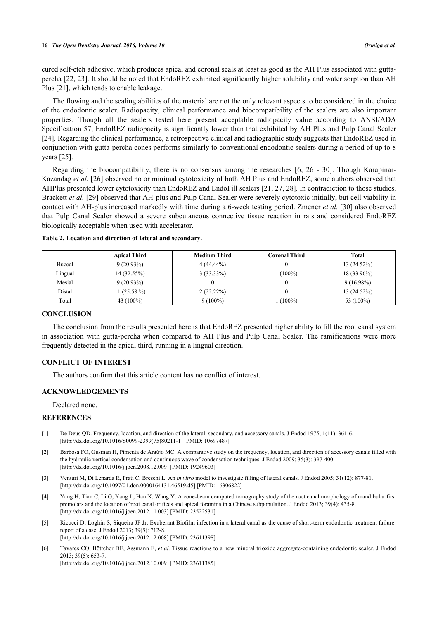cured self-etch adhesive, which produces apical and coronal seals at least as good as the AH Plus associated with guttapercha [[22,](#page-5-15) [23](#page-5-16)]. It should be noted that EndoREZ exhibited significantly higher solubility and water sorption than AH Plus [[21\]](#page-5-14), which tends to enable leakage.

The flowing and the sealing abilities of the material are not the only relevant aspects to be considered in the choice of the endodontic sealer. Radiopacity, clinical performance and biocompatibility of the sealers are also important properties. Though all the sealers tested here present acceptable radiopacity value according to ANSI/ADA Specification 57, EndoREZ radiopacity is significantly lower than that exhibited by AH Plus and Pulp Canal Sealer [\[24](#page-5-17)]. Regarding the clinical performance, a retrospective clinical and radiographic study suggests that EndoREZ used in conjunction with gutta-percha cones performs similarly to conventional endodontic sealers during a period of up to 8 years [[25\]](#page-5-18).

Regarding the biocompatibility, there is no consensus among the researches [\[6](#page-4-3), [26](#page-5-19) - [30](#page-6-0)]. Though Karapinar-Kazandag *et al.* [[26\]](#page-5-19) observed no or minimal cytotoxicity of both AH Plus and EndoREZ, some authors observed that AHPlus presented lower cytotoxicity than EndoREZ and EndoFill sealers [[21,](#page-5-14) [27,](#page-6-1) [28](#page-6-2)]. In contradiction to those studies, Brackett *et al.* [\[29\]](#page-6-3) observed that AH-plus and Pulp Canal Sealer were severely cytotoxic initially, but cell viability in contact with AH-plus increased markedly with time during a 6-week testing period. Zmener *et al.* [[30](#page-6-0)] also observed that Pulp Canal Sealer showed a severe subcutaneous connective tissue reaction in rats and considered EndoREZ biologically acceptable when used with accelerator.

|         | <b>Apical Third</b> | <b>Medium Third</b> | <b>Coronal Third</b> | <b>Total</b> |
|---------|---------------------|---------------------|----------------------|--------------|
| Buccal  | $9(20.93\%)$        | $4(44.44\%)$        |                      | 13(24.52%)   |
| Lingual | 14 (32.55%)         | $3(33.33\%)$        | $(100\%)$            | 18 (33.96%)  |
| Mesial  | $9(20.93\%)$        |                     |                      | $9(16.98\%)$ |
| Distal  | 11 $(25.58\%)$      | 2(22.22%)           |                      | 13(24.52%)   |
| Total   | 43 $(100\%)$        | $9(100\%)$          | $(100\%)$            | 53 (100%)    |

<span id="page-4-6"></span>

|  |  |  | Table 2. Location and direction of lateral and secondary. |
|--|--|--|-----------------------------------------------------------|
|  |  |  |                                                           |

# **CONCLUSION**

The conclusion from the results presented here is that EndoREZ presented higher ability to fill the root canal system in association with gutta-percha when compared to AH Plus and Pulp Canal Sealer. The ramifications were more frequently detected in the apical third, running in a lingual direction.

# **CONFLICT OF INTEREST**

The authors confirm that this article content has no conflict of interest.

# **ACKNOWLEDGEMENTS**

Declared none.

# **REFERENCES**

- <span id="page-4-0"></span>[1] De Deus QD. Frequency, location, and direction of the lateral, secondary, and accessory canals. J Endod 1975; 1(11): 361-6. [\[http://dx.doi.org/10.1016/S0099-2399\(75\)80211-1\]](http://dx.doi.org/10.1016/S0099-2399(75)80211-1) [PMID: [10697487](http://www.ncbi.nlm.nih.gov/pubmed/10697487)]
- <span id="page-4-5"></span>[2] Barbosa FO, Gusman H, Pimenta de Araújo MC. A comparative study on the frequency, location, and direction of accessory canals filled with the hydraulic vertical condensation and continuous wave of condensation techniques. J Endod 2009; 35(3): 397-400. [\[http://dx.doi.org/10.1016/j.joen.2008.12.009\]](http://dx.doi.org/10.1016/j.joen.2008.12.009) [PMID: [19249603](http://www.ncbi.nlm.nih.gov/pubmed/19249603)]
- <span id="page-4-4"></span>[3] Venturi M, Di Lenarda R, Prati C, Breschi L. An *in vitro* model to investigate filling of lateral canals. J Endod 2005; 31(12): 877-81. [\[http://dx.doi.org/10.1097/01.don.0000164131.46519.d5\]](http://dx.doi.org/10.1097/01.don.0000164131.46519.d5) [PMID: [16306822](http://www.ncbi.nlm.nih.gov/pubmed/16306822)]
- <span id="page-4-1"></span>[4] Yang H, Tian C, Li G, Yang L, Han X, Wang Y. A cone-beam computed tomography study of the root canal morphology of mandibular first premolars and the location of root canal orifices and apical foramina in a Chinese subpopulation. J Endod 2013; 39(4): 435-8. [\[http://dx.doi.org/10.1016/j.joen.2012.11.003\]](http://dx.doi.org/10.1016/j.joen.2012.11.003) [PMID: [23522531](http://www.ncbi.nlm.nih.gov/pubmed/23522531)]
- <span id="page-4-2"></span>[5] Ricucci D, Loghin S, Siqueira JF Jr. Exuberant Biofilm infection in a lateral canal as the cause of short-term endodontic treatment failure: report of a case. J Endod 2013; 39(5): 712-8. [\[http://dx.doi.org/10.1016/j.joen.2012.12.008\]](http://dx.doi.org/10.1016/j.joen.2012.12.008) [PMID: [23611398](http://www.ncbi.nlm.nih.gov/pubmed/23611398)]
- <span id="page-4-3"></span>[6] Tavares CO, Böttcher DE, Assmann E, *et al.* Tissue reactions to a new mineral trioxide aggregate-containing endodontic sealer. J Endod 2013; 39(5): 653-7. [\[http://dx.doi.org/10.1016/j.joen.2012.10.009\]](http://dx.doi.org/10.1016/j.joen.2012.10.009) [PMID: [23611385](http://www.ncbi.nlm.nih.gov/pubmed/23611385)]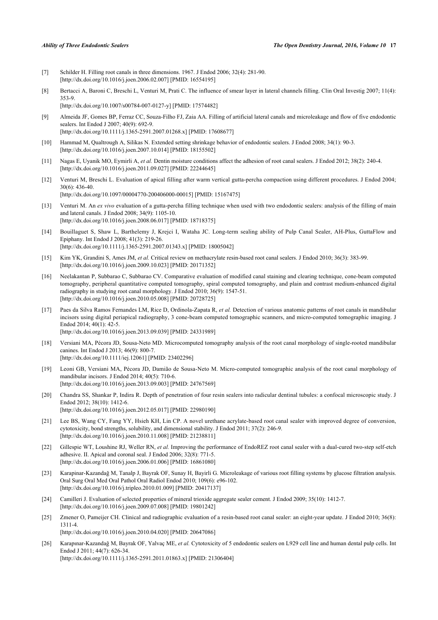- <span id="page-5-0"></span>[7] Schilder H. Filling root canals in three dimensions. 1967. J Endod 2006; 32(4): 281-90. [\[http://dx.doi.org/10.1016/j.joen.2006.02.007\]](http://dx.doi.org/10.1016/j.joen.2006.02.007) [PMID: [16554195](http://www.ncbi.nlm.nih.gov/pubmed/16554195)]
- <span id="page-5-1"></span>[8] Bertacci A, Baroni C, Breschi L, Venturi M, Prati C. The influence of smear layer in lateral channels filling. Clin Oral Investig 2007; 11(4): 353-9.
	- [\[http://dx.doi.org/10.1007/s00784-007-0127-y\]](http://dx.doi.org/10.1007/s00784-007-0127-y) [PMID: [17574482](http://www.ncbi.nlm.nih.gov/pubmed/17574482)]
- <span id="page-5-2"></span>[9] Almeida JF, Gomes BP, Ferraz CC, Souza-Filho FJ, Zaia AA. Filling of artificial lateral canals and microleakage and flow of five endodontic sealers. Int Endod J 2007; 40(9): 692-9. [\[http://dx.doi.org/10.1111/j.1365-2591.2007.01268.x\]](http://dx.doi.org/10.1111/j.1365-2591.2007.01268.x) [PMID: [17608677](http://www.ncbi.nlm.nih.gov/pubmed/17608677)]
- <span id="page-5-13"></span>[10] Hammad M, Qualtrough A, Silikas N. Extended setting shrinkage behavior of endodontic sealers. J Endod 2008; 34(1): 90-3. [\[http://dx.doi.org/10.1016/j.joen.2007.10.014\]](http://dx.doi.org/10.1016/j.joen.2007.10.014) [PMID: [18155502](http://www.ncbi.nlm.nih.gov/pubmed/18155502)]
- <span id="page-5-3"></span>[11] Nagas E, Uyanik MO, Eymirli A, *et al.* Dentin moisture conditions affect the adhesion of root canal sealers. J Endod 2012; 38(2): 240-4. [\[http://dx.doi.org/10.1016/j.joen.2011.09.027\]](http://dx.doi.org/10.1016/j.joen.2011.09.027) [PMID: [22244645](http://www.ncbi.nlm.nih.gov/pubmed/22244645)]
- <span id="page-5-4"></span>[12] Venturi M, Breschi L. Evaluation of apical filling after warm vertical gutta-percha compaction using different procedures. J Endod 2004; 30(6): 436-40. [\[http://dx.doi.org/10.1097/00004770-200406000-00015](http://dx.doi.org/10.1097/00004770-200406000-00015)] [PMID: [15167475\]](http://www.ncbi.nlm.nih.gov/pubmed/15167475)
- <span id="page-5-5"></span>[13] Venturi M. An *ex vivo* evaluation of a gutta-percha filling technique when used with two endodontic sealers: analysis of the filling of main and lateral canals. J Endod 2008; 34(9): 1105-10. [\[http://dx.doi.org/10.1016/j.joen.2008.06.017\]](http://dx.doi.org/10.1016/j.joen.2008.06.017) [PMID: [18718375](http://www.ncbi.nlm.nih.gov/pubmed/18718375)]
- <span id="page-5-6"></span>[14] Bouillaguet S, Shaw L, Barthelemy J, Krejci I, Wataha JC. Long-term sealing ability of Pulp Canal Sealer, AH-Plus, GuttaFlow and Epiphany. Int Endod J 2008; 41(3): 219-26. [\[http://dx.doi.org/10.1111/j.1365-2591.2007.01343.x\]](http://dx.doi.org/10.1111/j.1365-2591.2007.01343.x) [PMID: [18005042](http://www.ncbi.nlm.nih.gov/pubmed/18005042)]
- <span id="page-5-7"></span>[15] Kim YK, Grandini S, Ames JM, *et al.* Critical review on methacrylate resin-based root canal sealers. J Endod 2010; 36(3): 383-99. [\[http://dx.doi.org/10.1016/j.joen.2009.10.023\]](http://dx.doi.org/10.1016/j.joen.2009.10.023) [PMID: [20171352](http://www.ncbi.nlm.nih.gov/pubmed/20171352)]
- <span id="page-5-8"></span>[16] Neelakantan P, Subbarao C, Subbarao CV. Comparative evaluation of modified canal staining and clearing technique, cone-beam computed tomography, peripheral quantitative computed tomography, spiral computed tomography, and plain and contrast medium-enhanced digital radiography in studying root canal morphology. J Endod 2010; 36(9): 1547-51. [\[http://dx.doi.org/10.1016/j.joen.2010.05.008\]](http://dx.doi.org/10.1016/j.joen.2010.05.008) [PMID: [20728725](http://www.ncbi.nlm.nih.gov/pubmed/20728725)]
- <span id="page-5-9"></span>[17] Paes da Silva Ramos Fernandes LM, Rice D, Ordinola-Zapata R, *et al.* Detection of various anatomic patterns of root canals in mandibular incisors using digital periapical radiography, 3 cone-beam computed tomographic scanners, and micro-computed tomographic imaging. J Endod 2014; 40(1): 42-5. [\[http://dx.doi.org/10.1016/j.joen.2013.09.039\]](http://dx.doi.org/10.1016/j.joen.2013.09.039) [PMID: [24331989](http://www.ncbi.nlm.nih.gov/pubmed/24331989)]
- <span id="page-5-10"></span>[18] Versiani MA, Pécora JD, Sousa-Neto MD. Microcomputed tomography analysis of the root canal morphology of single-rooted mandibular canines. Int Endod J 2013; 46(9): 800-7. [\[http://dx.doi.org/10.1111/iej.12061\]](http://dx.doi.org/10.1111/iej.12061) [PMID: [23402296](http://www.ncbi.nlm.nih.gov/pubmed/23402296)]
- <span id="page-5-11"></span>[19] Leoni GB, Versiani MA, Pécora JD, Damião de Sousa-Neto M. Micro-computed tomographic analysis of the root canal morphology of mandibular incisors. J Endod 2014; 40(5): 710-6. [\[http://dx.doi.org/10.1016/j.joen.2013.09.003\]](http://dx.doi.org/10.1016/j.joen.2013.09.003) [PMID: [24767569](http://www.ncbi.nlm.nih.gov/pubmed/24767569)]
- <span id="page-5-12"></span>[20] Chandra SS, Shankar P, Indira R. Depth of penetration of four resin sealers into radicular dentinal tubules: a confocal microscopic study. J Endod 2012; 38(10): 1412-6. [\[http://dx.doi.org/10.1016/j.joen.2012.05.017\]](http://dx.doi.org/10.1016/j.joen.2012.05.017) [PMID: [22980190](http://www.ncbi.nlm.nih.gov/pubmed/22980190)]
- <span id="page-5-14"></span>[21] Lee BS, Wang CY, Fang YY, Hsieh KH, Lin CP. A novel urethane acrylate-based root canal sealer with improved degree of conversion, cytotoxicity, bond strengths, solubility, and dimensional stability. J Endod 2011; 37(2): 246-9. [\[http://dx.doi.org/10.1016/j.joen.2010.11.008\]](http://dx.doi.org/10.1016/j.joen.2010.11.008) [PMID: [21238811](http://www.ncbi.nlm.nih.gov/pubmed/21238811)]
- <span id="page-5-15"></span>[22] Gillespie WT, Loushine RJ, Weller RN, *et al.* Improving the performance of EndoREZ root canal sealer with a dual-cured two-step self-etch adhesive. II. Apical and coronal seal. J Endod 2006; 32(8): 771-5. [\[http://dx.doi.org/10.1016/j.joen.2006.01.006\]](http://dx.doi.org/10.1016/j.joen.2006.01.006) [PMID: [16861080](http://www.ncbi.nlm.nih.gov/pubmed/16861080)]
- <span id="page-5-16"></span>[23] Karapinar-Kazandağ M, Tanalp J, Bayrak OF, Sunay H, Bayirli G. Microleakage of various root filling systems by glucose filtration analysis. Oral Surg Oral Med Oral Pathol Oral Radiol Endod 2010; 109(6): e96-102. [\[http://dx.doi.org/10.1016/j.tripleo.2010.01.009\]](http://dx.doi.org/10.1016/j.tripleo.2010.01.009) [PMID: [20417137](http://www.ncbi.nlm.nih.gov/pubmed/20417137)]
- <span id="page-5-17"></span>[24] Camilleri J. Evaluation of selected properties of mineral trioxide aggregate sealer cement. J Endod 2009; 35(10): 1412-7. [\[http://dx.doi.org/10.1016/j.joen.2009.07.008\]](http://dx.doi.org/10.1016/j.joen.2009.07.008) [PMID: [19801242](http://www.ncbi.nlm.nih.gov/pubmed/19801242)]
- <span id="page-5-18"></span>[25] Zmener O, Pameijer CH. Clinical and radiographic evaluation of a resin-based root canal sealer: an eight-year update. J Endod 2010; 36(8): 1311-4.

[\[http://dx.doi.org/10.1016/j.joen.2010.04.020\]](http://dx.doi.org/10.1016/j.joen.2010.04.020) [PMID: [20647086](http://www.ncbi.nlm.nih.gov/pubmed/20647086)]

<span id="page-5-19"></span>[26] Karapınar-Kazandağ M, Bayrak OF, Yalvaç ME, *et al.* Cytotoxicity of 5 endodontic sealers on L929 cell line and human dental pulp cells. Int Endod J 2011; 44(7): 626-34. [\[http://dx.doi.org/10.1111/j.1365-2591.2011.01863.x\]](http://dx.doi.org/10.1111/j.1365-2591.2011.01863.x) [PMID: [21306404](http://www.ncbi.nlm.nih.gov/pubmed/21306404)]